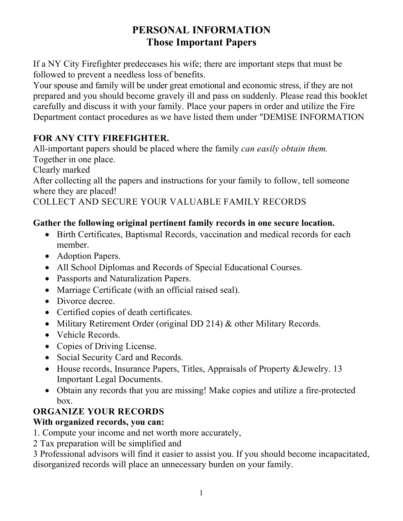## **PERSONAL INFORMATION Those Important Papers**

If a NY City Firefighter predeceases his wife; there are important steps that must be followed to prevent a needless loss of benefits.

Your spouse and family will be under great emotional and economic stress, if they are not prepared and you should become gravely ill and pass on suddenly. Please read this booklet carefully and discuss it with your family. Place your papers in order and utilize the Fire Department contact procedures as we have listed them under "DEMISE INFORMATION

## **FOR ANY CITY FIREFIGHTER.**

All-important papers should be placed where the family *can easily obtain them.* Together in one place.

Clearly marked

After collecting all the papers and instructions for your family to follow, tell someone where they are placed!

COLLECT AND SECURE YOUR VALUABLE FAMILY RECORDS

### **Gather the following original pertinent family records in one secure location.**

- Birth Certificates, Baptismal Records, vaccination and medical records for each member.
- Adoption Papers.
- All School Diplomas and Records of Special Educational Courses.
- Passports and Naturalization Papers.
- Marriage Certificate (with an official raised seal).
- Divorce decree.
- Certified copies of death certificates.
- Military Retirement Order (original DD 214) & other Military Records.
- Vehicle Records.
- Copies of Driving License.
- Social Security Card and Records.
- House records, Insurance Papers, Titles, Appraisals of Property &Jewelry. 13 Important Legal Documents.
- Obtain any records that you are missing! Make copies and utilize a fire-protected box.

## **ORGANIZE YOUR RECORDS**

### **With organized records, you can:**

- 1. Compute your income and net worth more accurately,
- 2 Tax preparation will be simplified and

3 Professional advisors will find it easier to assist you. If you should become incapacitated, disorganized records will place an unnecessary burden on your family.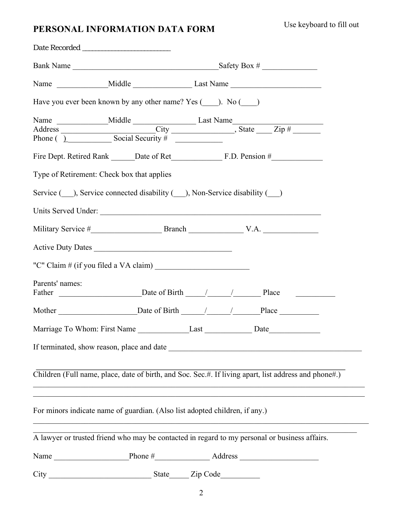## **PERSONAL INFORMATION DATA FORM**

| Have you ever been known by any other name? Yes (10). No (20)                                         |  |  |                                  |  |  |
|-------------------------------------------------------------------------------------------------------|--|--|----------------------------------|--|--|
|                                                                                                       |  |  |                                  |  |  |
|                                                                                                       |  |  |                                  |  |  |
|                                                                                                       |  |  |                                  |  |  |
| Type of Retirement: Check box that applies                                                            |  |  |                                  |  |  |
| Service ( ), Service connected disability ( ), Non-Service disability ( )                             |  |  |                                  |  |  |
| Units Served Under:                                                                                   |  |  |                                  |  |  |
|                                                                                                       |  |  |                                  |  |  |
| Active Duty Dates                                                                                     |  |  |                                  |  |  |
|                                                                                                       |  |  |                                  |  |  |
| Parents' names:                                                                                       |  |  | Father Date of Birth / / / Place |  |  |
|                                                                                                       |  |  |                                  |  |  |
|                                                                                                       |  |  |                                  |  |  |
|                                                                                                       |  |  |                                  |  |  |
| Children (Full name, place, date of birth, and Soc. Sec.#. If living apart, list address and phone#.) |  |  |                                  |  |  |
| For minors indicate name of guardian. (Also list adopted children, if any.)                           |  |  |                                  |  |  |
| A lawyer or trusted friend who may be contacted in regard to my personal or business affairs.         |  |  |                                  |  |  |
|                                                                                                       |  |  |                                  |  |  |
|                                                                                                       |  |  |                                  |  |  |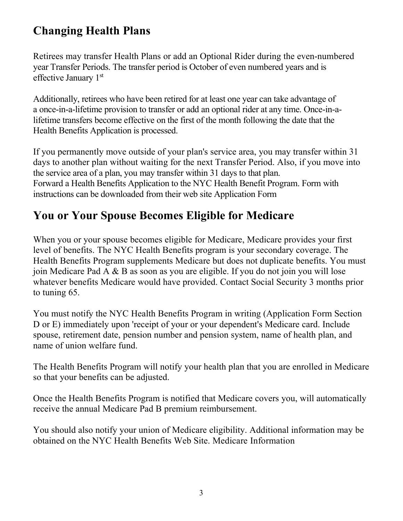# **Changing Health Plans**

Retirees may transfer Health Plans or add an Optional Rider during the even-numbered year Transfer Periods. The transfer period is October of even numbered years and is effective January 1st

Additionally, retirees who have been retired for at least one year can take advantage of a once-in-a-lifetime provision to transfer or add an optional rider at any time. Once-in-alifetime transfers become effective on the first of the month following the date that the Health Benefits Application is processed.

If you permanently move outside of your plan's service area, you may transfer within 31 days to another plan without waiting for the next Transfer Period. Also, if you move into the service area of a plan, you may transfer within 31 days to that plan. Forward a Health Benefits Application to the NYC Health Benefit Program. Form with instructions can be downloaded from their web site Application Form

# **You or Your Spouse Becomes Eligible for Medicare**

When you or your spouse becomes eligible for Medicare, Medicare provides your first level of benefits. The NYC Health Benefits program is your secondary coverage. The Health Benefits Program supplements Medicare but does not duplicate benefits. You must join Medicare Pad A & B as soon as you are eligible. If you do not join you will lose whatever benefits Medicare would have provided. Contact Social Security 3 months prior to tuning 65.

You must notify the NYC Health Benefits Program in writing (Application Form Section D or E) immediately upon 'receipt of your or your dependent's Medicare card. Include spouse, retirement date, pension number and pension system, name of health plan, and name of union welfare fund.

The Health Benefits Program will notify your health plan that you are enrolled in Medicare so that your benefits can be adjusted.

Once the Health Benefits Program is notified that Medicare covers you, will automatically receive the annual Medicare Pad B premium reimbursement.

You should also notify your union of Medicare eligibility. Additional information may be obtained on the NYC Health Benefits Web Site. Medicare Information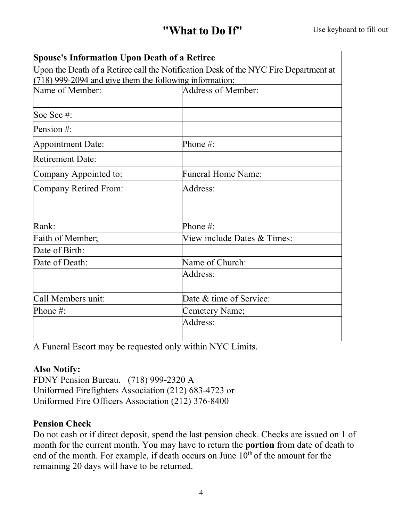| <b>Spouse's Information Upon Death of a Retiree</b>       |                                                                                      |  |
|-----------------------------------------------------------|--------------------------------------------------------------------------------------|--|
|                                                           | Upon the Death of a Retiree call the Notification Desk of the NYC Fire Department at |  |
| $(718)$ 999-2094 and give them the following information; |                                                                                      |  |
| Name of Member:                                           | Address of Member:                                                                   |  |
| Soc Sec #:                                                |                                                                                      |  |
| Pension #:                                                |                                                                                      |  |
| Appointment Date:                                         | Phone $#$ :                                                                          |  |
| <b>Retirement Date:</b>                                   |                                                                                      |  |
| Company Appointed to:                                     | <b>Funeral Home Name:</b>                                                            |  |
| Company Retired From:                                     | Address:                                                                             |  |
|                                                           |                                                                                      |  |
| Rank:                                                     | Phone #:                                                                             |  |
| Faith of Member;                                          | View include Dates & Times:                                                          |  |
| Date of Birth:                                            |                                                                                      |  |
| Date of Death:                                            | Name of Church:                                                                      |  |
|                                                           | Address:                                                                             |  |
| Call Members unit:                                        | Date & time of Service:                                                              |  |
| Phone #:                                                  | Cemetery Name;                                                                       |  |
|                                                           | Address:                                                                             |  |
|                                                           |                                                                                      |  |

A Funeral Escort may be requested only within NYC Limits.

#### **Also Notify:**

FDNY Pension Bureau. (718) 999-2320 A Uniformed Firefighters Association (212) 683-4723 or Uniformed Fire Officers Association (212) 376-8400

#### **Pension Check**

Do not cash or if direct deposit, spend the last pension check. Checks are issued on 1 of month for the current month. You may have to return the **portion** from date of death to end of the month. For example, if death occurs on June  $10<sup>th</sup>$  of the amount for the remaining 20 days will have to be returned.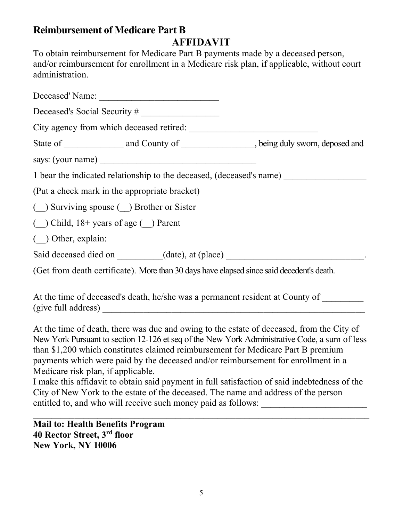## **Reimbursement of Medicare Part B**

**AFFIDAVIT**

To obtain reimbursement for Medicare Part B payments made by a deceased person, and/or reimbursement for enrollment in a Medicare risk plan, if applicable, without court administration.

| Deceased's Social Security #                                                              |  |  |  |  |
|-------------------------------------------------------------------------------------------|--|--|--|--|
|                                                                                           |  |  |  |  |
| State of ________________ and County of _________________, being duly sworn, deposed and  |  |  |  |  |
|                                                                                           |  |  |  |  |
| 1 bear the indicated relationship to the deceased, (deceased's name)                      |  |  |  |  |
| (Put a check mark in the appropriate bracket)                                             |  |  |  |  |
| ( ) Surviving spouse ( ) Brother or Sister                                                |  |  |  |  |
| $($ ) Child, $18+$ years of age $($ ) Parent                                              |  |  |  |  |
| $($ $)$ Other, explain:                                                                   |  |  |  |  |
| Said deceased died on _________(date), at (place) _______________________________         |  |  |  |  |
| (Get from death certificate). More than 30 days have elapsed since said decedent's death. |  |  |  |  |

At the time of deceased's death, he/she was a permanent resident at County of (give full address) \_\_\_\_\_\_\_\_\_\_\_\_\_\_\_\_\_\_\_\_\_\_\_\_\_\_\_\_\_\_\_\_\_\_\_\_\_\_\_\_\_\_\_\_\_\_\_\_\_\_\_\_\_\_\_\_\_

At the time of death, there was due and owing to the estate of deceased, from the City of New York Pursuant to section 12-126 et seq of the New York Administrative Code, a sum of less than \$1,200 which constitutes claimed reimbursement for Medicare Part B premium payments which were paid by the deceased and/or reimbursement for enrollment in a Medicare risk plan, if applicable.

I make this affidavit to obtain said payment in full satisfaction of said indebtedness of the City of New York to the estate of the deceased. The name and address of the person entitled to, and who will receive such money paid as follows: \_\_\_\_\_\_\_\_\_\_\_\_\_\_\_\_\_\_\_

 $\mathcal{L}_\text{max}$  , and the contribution of the contribution of the contribution of the contribution of the contribution of the contribution of the contribution of the contribution of the contribution of the contribution of t

**Mail to: Health Benefits Program 40 Rector Street, 3rd floor New York, NY 10006**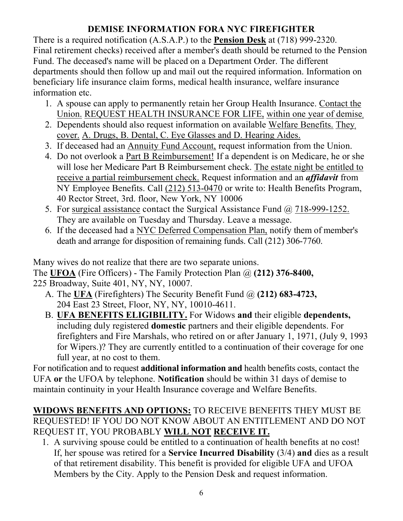## **DEMISE INFORMATION FORA NYC FIREFIGHTER**

There is a required notification (A.S.A.P.) to the **Pension Desk** at (718) 999-2320. Final retirement checks) received after a member's death should be returned to the Pension Fund. The deceased's name will be placed on a Department Order. The different departments should then follow up and mail out the required information. Information on beneficiary life insurance claim forms, medical health insurance, welfare insurance information etc.

- 1. A spouse can apply to permanently retain her Group Health Insurance. Contact the Union. REQUEST HEALTH INSURANCE FOR LIFE, within one year of demise,
- 2. Dependents should also request information on available Welfare Benefits. They, cover. A. Drugs, B. Dental, C. Eye Glasses and D. Hearing Aides.
- 3. If deceased had an Annuity Fund Account, request information from the Union.
- 4. Do not overlook a Part B Reimbursement! If a dependent is on Medicare, he or she will lose her Medicare Part B Reimbursement check. The estate night be entitled to receive a partial reimbursement check. Request information and an *affidavit* from NY Employee Benefits. Call (212) 513-0470 or write to: Health Benefits Program, 40 Rector Street, 3rd. floor, New York, NY 10006
- 5. For surgical assistance contact the Surgical Assistance Fund @ 718-999-1252. They are available on Tuesday and Thursday. Leave a message.
- 6. If the deceased had a NYC Deferred Compensation Plan, notify them of member's death and arrange for disposition of remaining funds. Call (212) 306-7760.

Many wives do not realize that there are two separate unions. The **UFOA** (Fire Officers) - The Family Protection Plan @ **(212) 376-8400,**  225 Broadway, Suite 401, NY, NY, 10007.

- A. The **UFA** (Firefighters) The Security Benefit Fund @ **(212) 683-4723,**  204 East 23 Street, Floor, NY, NY, 10010-4611.
- B. **UFA BENEFITS ELIGIBILITY.** For Widows **and** their eligible **dependents,**  including duly registered **domestic** partners and their eligible dependents. For firefighters and Fire Marshals, who retired on or after January 1, 1971, (July 9, 1993 for Wipers.)? They are currently entitled to a continuation of their coverage for one full year, at no cost to them.

For notification and to request **additional information and** health benefits costs, contact the UFA **or** the UFOA by telephone. **Notification** should be within 31 days of demise to maintain continuity in your Health Insurance coverage and Welfare Benefits.

### **WIDOWS BENEFITS AND OPTIONS:** TO RECEIVE BENEFITS THEY MUST BE REQUESTED! IF YOU DO NOT KNOW ABOUT AN ENTITLEMENT AND DO NOT REQUEST IT, YOU PROBABLY **WILL NOT RECEIVE IT.**

1. A surviving spouse could be entitled to a continuation of health benefits at no cost! If, her spouse was retired for a **Service Incurred Disability** (3/4) **and** dies as a result of that retirement disability. This benefit is provided for eligible UFA and UFOA Members by the City. Apply to the Pension Desk and request information.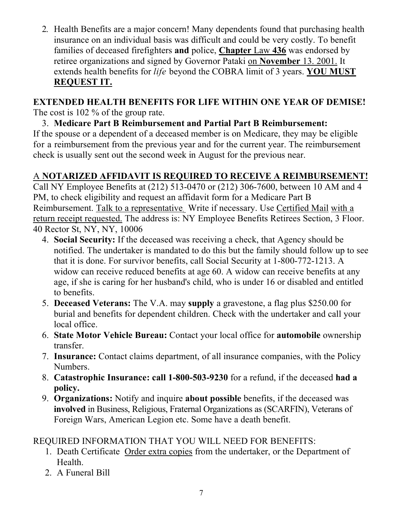2. Health Benefits are a major concern! Many dependents found that purchasing health insurance on an individual basis was difficult and could be very costly. To benefit families of deceased firefighters **and** police, **Chapter** Law **436** was endorsed by retiree organizations and signed by Governor Pataki on **November** 13. 2001. It extends health benefits for *life* beyond the COBRA limit of 3 years. **YOU MUST REQUEST IT.**

# **EXTENDED HEALTH BENEFITS FOR LIFE WITHIN ONE YEAR OF DEMISE!**

The cost is 102 % of the group rate.

3. **Medicare Part B Reimbursement and Partial Part B Reimbursement:** If the spouse or a dependent of a deceased member is on Medicare, they may be eligible for a reimbursement from the previous year and for the current year. The reimbursement check is usually sent out the second week in August for the previous near.

# A **NOTARIZED AFFIDAVIT IS REQUIRED TO RECEIVE A REIMBURSEMENT!**

Call NY Employee Benefits at (212) 513-0470 or (212) 306-7600, between 10 AM and 4 PM, to check eligibility and request an affidavit form for a Medicare Part B Reimbursement. Talk to a representative. Write if necessary. Use Certified Mail with a return receipt requested. The address is: NY Employee Benefits Retirees Section, 3 Floor. 40 Rector St, NY, NY, 10006

- 4. **Social Security:** If the deceased was receiving a check, that Agency should be notified. The undertaker is mandated to do this but the family should follow up to see that it is done. For survivor benefits, call Social Security at 1-800-772-1213. A widow can receive reduced benefits at age 60. A widow can receive benefits at any age, if she is caring for her husband's child, who is under 16 or disabled and entitled to benefits.
- 5. **Deceased Veterans:** The V.A. may **supply** a gravestone, a flag plus \$250.00 for burial and benefits for dependent children. Check with the undertaker and call your local office.
- 6. **State Motor Vehicle Bureau:** Contact your local office for **automobile** ownership transfer.
- 7. **Insurance:** Contact claims department, of all insurance companies, with the Policy Numbers.
- 8. **Catastrophic Insurance: call 1-800-503-9230** for a refund, if the deceased **had a policy.**
- 9. **Organizations:** Notify and inquire **about possible** benefits, if the deceased was **involved** in Business, Religious, Fraternal Organizations as (SCARFIN), Veterans of Foreign Wars, American Legion etc. Some have a death benefit.

REQUIRED INFORMATION THAT YOU WILL NEED FOR BENEFITS:

- 1. Death Certificate Order extra copies from the undertaker, or the Department of Health.
- 2. A Funeral Bill